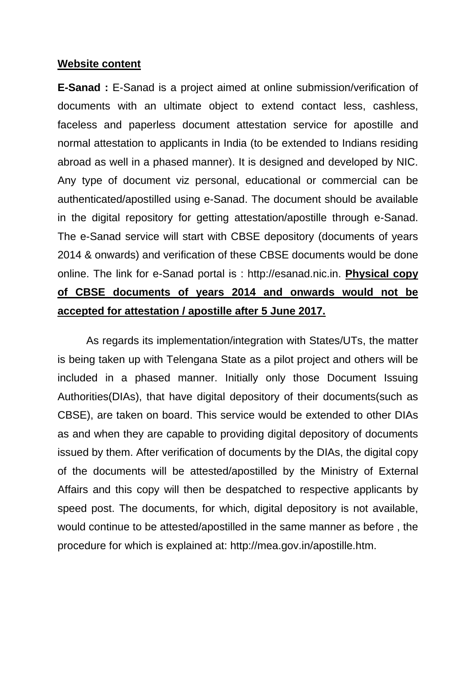#### **Website content**

**E-Sanad :** E-Sanad is a project aimed at online submission/verification of documents with an ultimate object to extend contact less, cashless, faceless and paperless document attestation service for apostille and normal attestation to applicants in India (to be extended to Indians residing abroad as well in a phased manner). It is designed and developed by NIC. Any type of document viz personal, educational or commercial can be authenticated/apostilled using e-Sanad. The document should be available in the digital repository for getting attestation/apostille through e-Sanad. The e-Sanad service will start with CBSE depository (documents of years 2014 & onwards) and verification of these CBSE documents would be done online. The link for e-Sanad portal is : http://esanad.nic.in. **Physical copy of CBSE documents of years 2014 and onwards would not be accepted for attestation / apostille after 5 June 2017.** 

As regards its implementation/integration with States/UTs, the matter is being taken up with Telengana State as a pilot project and others will be included in a phased manner. Initially only those Document Issuing Authorities(DIAs), that have digital depository of their documents(such as CBSE), are taken on board. This service would be extended to other DIAs as and when they are capable to providing digital depository of documents issued by them. After verification of documents by the DIAs, the digital copy of the documents will be attested/apostilled by the Ministry of External Affairs and this copy will then be despatched to respective applicants by speed post. The documents, for which, digital depository is not available, would continue to be attested/apostilled in the same manner as before , the procedure for which is explained at: http://mea.gov.in/apostille.htm.